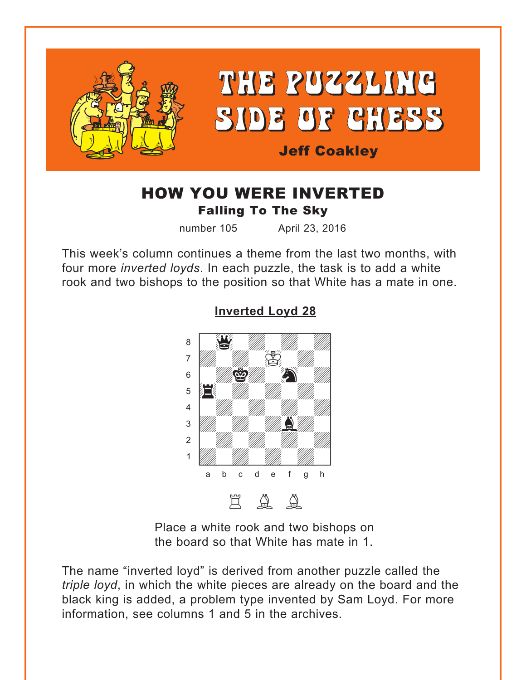<span id="page-0-0"></span>

# HOW YOU WERE INVERTED Falling To The Sky

number 105 April 23, 2016

This week's column continues a theme from the last two months, with four more *inverted loyds*. In each puzzle, the task is to add a white rook and two bishops to the position so that White has a mate in one.



## **[Inverted Loyd 28](#page-4-0)**

Place a white rook and two bishops on the board so that White has mate in 1.

The name "inverted loyd" is derived from another puzzle called the *triple loyd*, in which the white pieces are already on the board and the black king is added, a problem type invented by Sam Loyd. For more information, see columns 1 and 5 in the archives.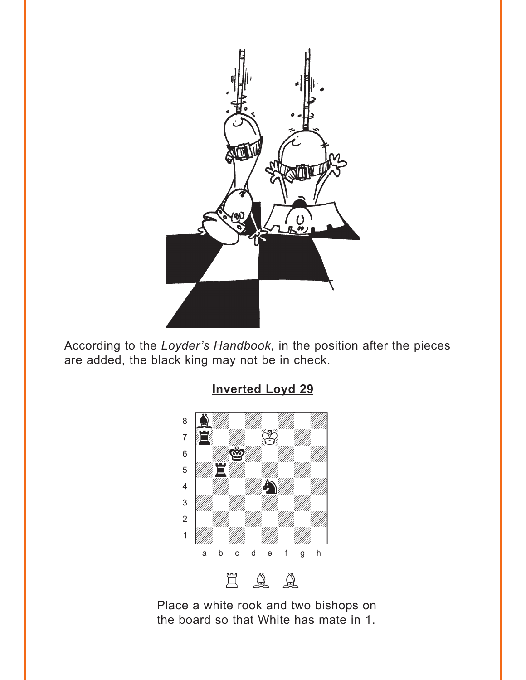<span id="page-1-0"></span>

According to the Loyder's Handbook, in the position after the pieces are added, the black king may not be in check.

**Inverted Loyd 29** 



Place a white rook and two bishops on the board so that White has mate in 1.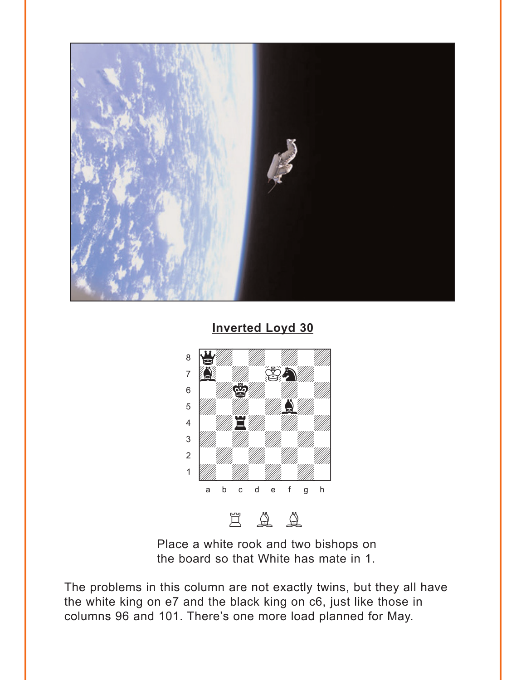<span id="page-2-0"></span>

**Inverted Loyd 30** 



Place a white rook and two bishops on the board so that White has mate in 1.

The problems in this column are not exactly twins, but they all have the white king on e7 and the black king on c6, just like those in columns 96 and 101. There's one more load planned for May.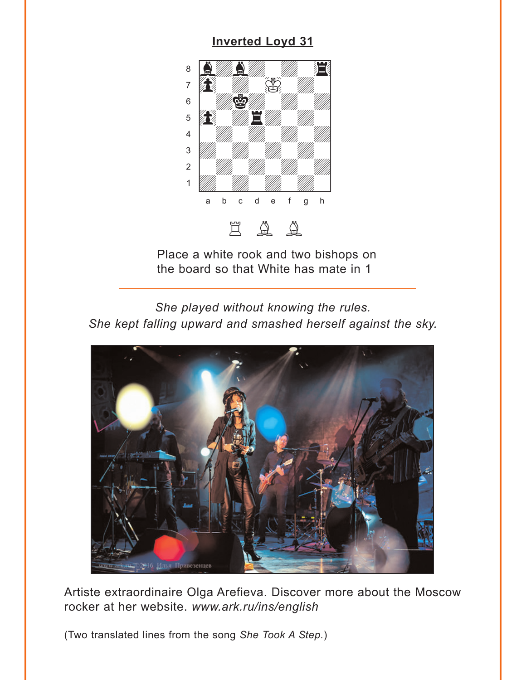<span id="page-3-0"></span>

Place a white rook and two bishops on the board so that White has mate in 1

*She played without knowing the rules. She kept falling upward and smashed herself against the sky.*



Artiste extraordinaire Olga Arefieva. Discover more about the Moscow rocker at her website. *www.ark.ru/ins/english*

(Two translated lines from the song *She Took A Step.*)

### **[Inverted Loyd 31](#page-6-0)**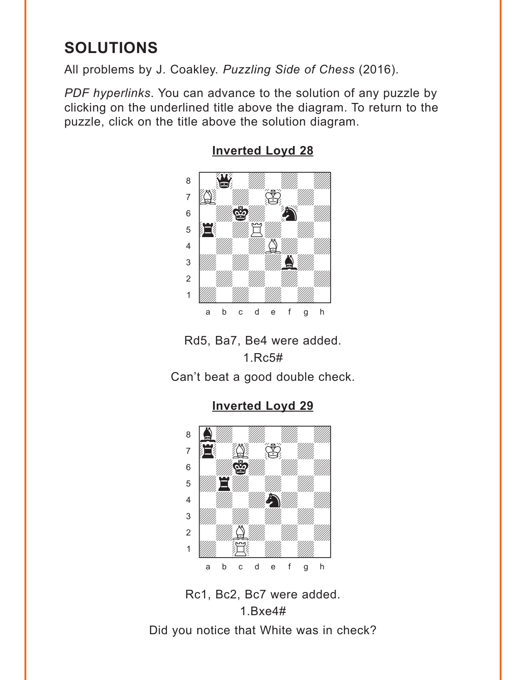# <span id="page-4-0"></span>**SOLUTIONS**

All problems by J. Coakley. *Puzzling Side of Chess* (2016).

*PDF hyperlinks*. You can advance to the solution of any puzzle by clicking on the underlined title above the diagram. To return to the puzzle, click on the title above the solution diagram.



#### **[Inverted Loyd 28](#page-0-0)**

Rd5, Ba7, Be4 were added. 1.Rc5#

Can't beat a good double check.

**[Inverted Loyd 29](#page-1-0)**



Rc1, Bc2, Bc7 were added. 1.Bxe4# Did you notice that White was in check?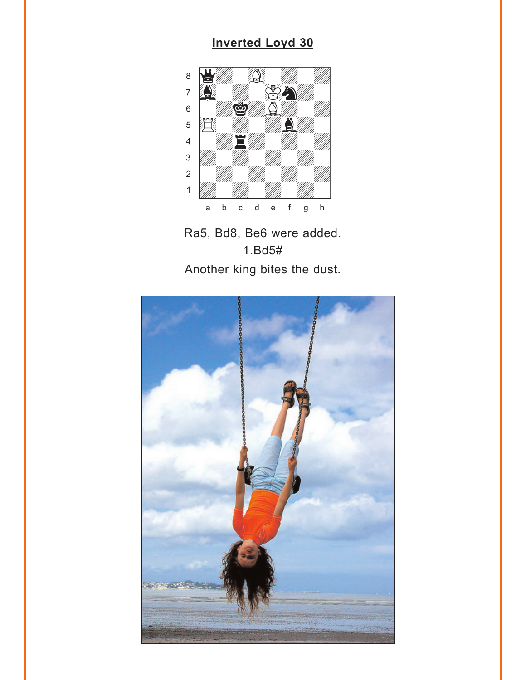# **Inverted Loyd 30**

<span id="page-5-0"></span>

Ra5, Bd8, Be6 were added.  $1.Bd5#$ Another king bites the dust.